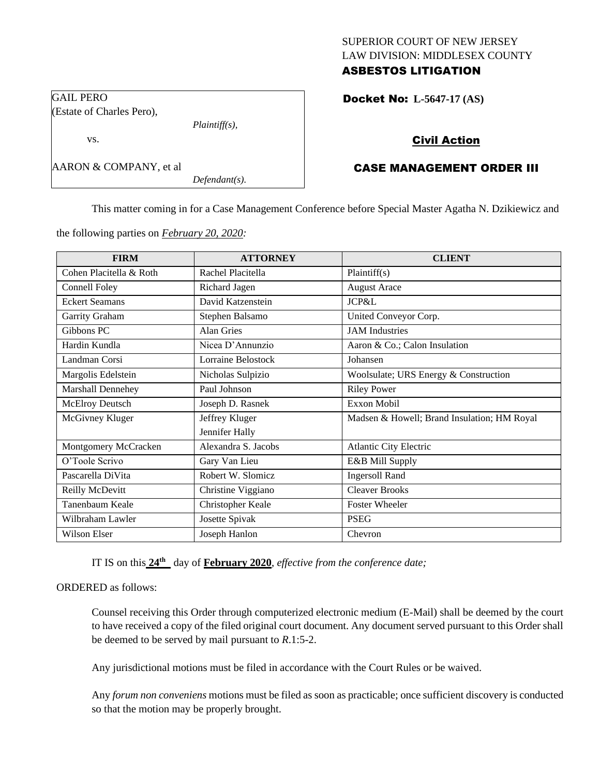## SUPERIOR COURT OF NEW JERSEY LAW DIVISION: MIDDLESEX COUNTY ASBESTOS LITIGATION

Docket No: **L-5647-17 (AS)** 

# Civil Action

# CASE MANAGEMENT ORDER III

This matter coming in for a Case Management Conference before Special Master Agatha N. Dzikiewicz and

the following parties on *February 20, 2020:*

*Plaintiff(s),*

*Defendant(s).*

GAIL PERO

(Estate of Charles Pero),

AARON & COMPANY, et al

vs.

| <b>FIRM</b>             | <b>ATTORNEY</b>     | <b>CLIENT</b>                               |
|-------------------------|---------------------|---------------------------------------------|
| Cohen Placitella & Roth | Rachel Placitella   | Plaintiff(s)                                |
| Connell Foley           | Richard Jagen       | <b>August Arace</b>                         |
| <b>Eckert Seamans</b>   | David Katzenstein   | JCP&L                                       |
| Garrity Graham          | Stephen Balsamo     | United Conveyor Corp.                       |
| Gibbons PC              | Alan Gries          | <b>JAM</b> Industries                       |
| Hardin Kundla           | Nicea D'Annunzio    | Aaron & Co.; Calon Insulation               |
| Landman Corsi           | Lorraine Belostock  | Johansen                                    |
| Margolis Edelstein      | Nicholas Sulpizio   | Woolsulate; URS Energy & Construction       |
| Marshall Dennehey       | Paul Johnson        | <b>Riley Power</b>                          |
| McElroy Deutsch         | Joseph D. Rasnek    | <b>Exxon Mobil</b>                          |
| McGivney Kluger         | Jeffrey Kluger      | Madsen & Howell; Brand Insulation; HM Royal |
|                         | Jennifer Hally      |                                             |
| Montgomery McCracken    | Alexandra S. Jacobs | Atlantic City Electric                      |
| O'Toole Scrivo          | Gary Van Lieu       | E&B Mill Supply                             |
| Pascarella DiVita       | Robert W. Slomicz   | <b>Ingersoll Rand</b>                       |
| Reilly McDevitt         | Christine Viggiano  | <b>Cleaver Brooks</b>                       |
| Tanenbaum Keale         | Christopher Keale   | <b>Foster Wheeler</b>                       |
| Wilbraham Lawler        | Josette Spivak      | <b>PSEG</b>                                 |
| Wilson Elser            | Joseph Hanlon       | Chevron                                     |

IT IS on this  $24^{\text{th}}$  day of **February 2020**, *effective from the conference date*;

#### ORDERED as follows:

Counsel receiving this Order through computerized electronic medium (E-Mail) shall be deemed by the court to have received a copy of the filed original court document. Any document served pursuant to this Order shall be deemed to be served by mail pursuant to *R*.1:5-2.

Any jurisdictional motions must be filed in accordance with the Court Rules or be waived.

Any *forum non conveniens* motions must be filed as soon as practicable; once sufficient discovery is conducted so that the motion may be properly brought.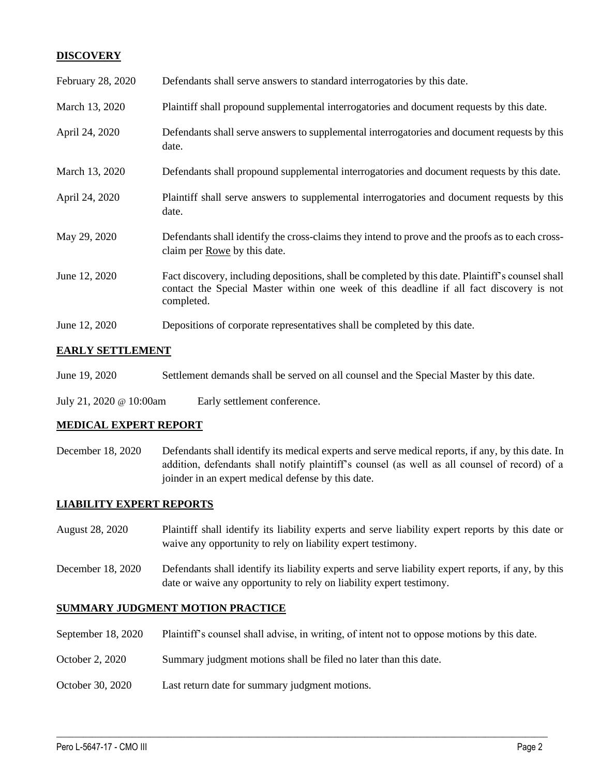# **DISCOVERY**

| February 28, 2020 | Defendants shall serve answers to standard interrogatories by this date.                                                                                                                                    |
|-------------------|-------------------------------------------------------------------------------------------------------------------------------------------------------------------------------------------------------------|
| March 13, 2020    | Plaintiff shall propound supplemental interrogatories and document requests by this date.                                                                                                                   |
| April 24, 2020    | Defendants shall serve answers to supplemental interrogatories and document requests by this<br>date.                                                                                                       |
| March 13, 2020    | Defendants shall propound supplemental interrogatories and document requests by this date.                                                                                                                  |
| April 24, 2020    | Plaintiff shall serve answers to supplemental interrogatories and document requests by this<br>date.                                                                                                        |
| May 29, 2020      | Defendants shall identify the cross-claims they intend to prove and the proofs as to each cross-<br>claim per Rowe by this date.                                                                            |
| June 12, 2020     | Fact discovery, including depositions, shall be completed by this date. Plaintiff's counsel shall<br>contact the Special Master within one week of this deadline if all fact discovery is not<br>completed. |
| June 12, 2020     | Depositions of corporate representatives shall be completed by this date.                                                                                                                                   |

## **EARLY SETTLEMENT**

| June 19, 2020<br>Settlement demands shall be served on all counsel and the Special Master by this date. |  |  |
|---------------------------------------------------------------------------------------------------------|--|--|
|---------------------------------------------------------------------------------------------------------|--|--|

July 21, 2020 @ 10:00am Early settlement conference.

#### **MEDICAL EXPERT REPORT**

December 18, 2020 Defendants shall identify its medical experts and serve medical reports, if any, by this date. In addition, defendants shall notify plaintiff's counsel (as well as all counsel of record) of a joinder in an expert medical defense by this date.

## **LIABILITY EXPERT REPORTS**

- August 28, 2020 Plaintiff shall identify its liability experts and serve liability expert reports by this date or waive any opportunity to rely on liability expert testimony.
- December 18, 2020 Defendants shall identify its liability experts and serve liability expert reports, if any, by this date or waive any opportunity to rely on liability expert testimony.

## **SUMMARY JUDGMENT MOTION PRACTICE**

September 18, 2020 Plaintiff's counsel shall advise, in writing, of intent not to oppose motions by this date.

 $\_$  , and the set of the set of the set of the set of the set of the set of the set of the set of the set of the set of the set of the set of the set of the set of the set of the set of the set of the set of the set of th

- October 2, 2020 Summary judgment motions shall be filed no later than this date.
- October 30, 2020 Last return date for summary judgment motions.